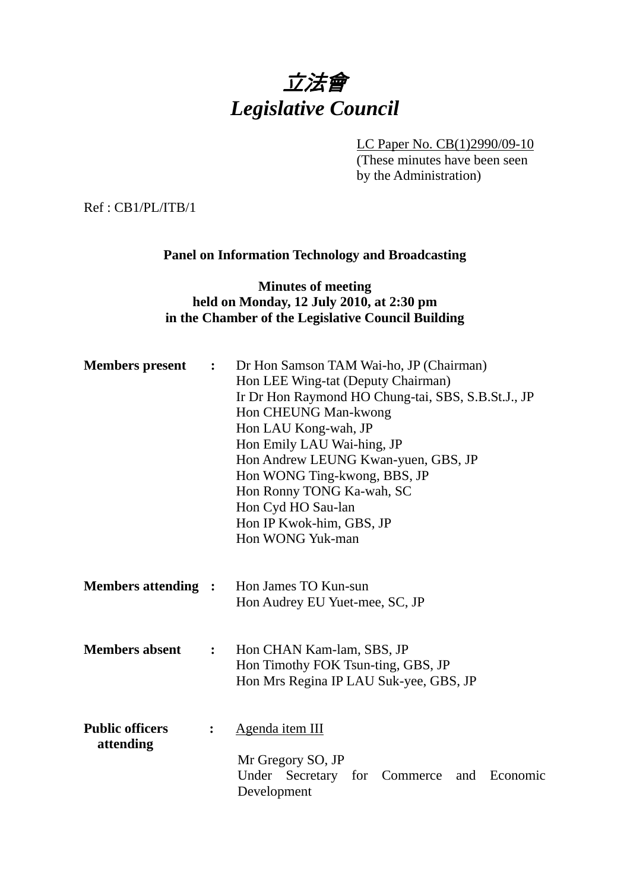

LC Paper No. CB(1)2990/09-10

(These minutes have been seen by the Administration)

Ref : CB1/PL/ITB/1

# **Panel on Information Technology and Broadcasting**

# **Minutes of meeting held on Monday, 12 July 2010, at 2:30 pm in the Chamber of the Legislative Council Building**

| <b>Members</b> present              | $\ddot{\cdot}$ | Dr Hon Samson TAM Wai-ho, JP (Chairman)<br>Hon LEE Wing-tat (Deputy Chairman)<br>Ir Dr Hon Raymond HO Chung-tai, SBS, S.B.St.J., JP<br>Hon CHEUNG Man-kwong<br>Hon LAU Kong-wah, JP<br>Hon Emily LAU Wai-hing, JP<br>Hon Andrew LEUNG Kwan-yuen, GBS, JP<br>Hon WONG Ting-kwong, BBS, JP<br>Hon Ronny TONG Ka-wah, SC<br>Hon Cyd HO Sau-lan<br>Hon IP Kwok-him, GBS, JP<br>Hon WONG Yuk-man |  |
|-------------------------------------|----------------|---------------------------------------------------------------------------------------------------------------------------------------------------------------------------------------------------------------------------------------------------------------------------------------------------------------------------------------------------------------------------------------------|--|
| <b>Members attending :</b>          |                | Hon James TO Kun-sun<br>Hon Audrey EU Yuet-mee, SC, JP                                                                                                                                                                                                                                                                                                                                      |  |
| <b>Members absent</b>               | $\ddot{\cdot}$ | Hon CHAN Kam-lam, SBS, JP<br>Hon Timothy FOK Tsun-ting, GBS, JP<br>Hon Mrs Regina IP LAU Suk-yee, GBS, JP                                                                                                                                                                                                                                                                                   |  |
| <b>Public officers</b><br>attending | $\ddot{\cdot}$ | Agenda item III<br>Mr Gregory SO, JP<br>Under Secretary for Commerce<br>Economic<br>and<br>Development                                                                                                                                                                                                                                                                                      |  |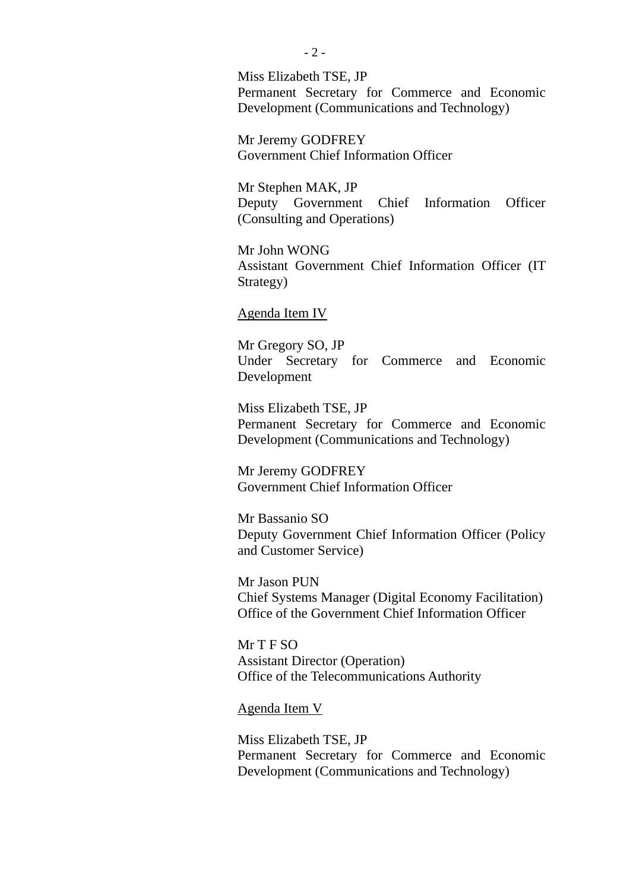Miss Elizabeth TSE, JP Permanent Secretary for Commerce and Economic Development (Communications and Technology)

Mr Jeremy GODFREY Government Chief Information Officer

Mr Stephen MAK, JP Deputy Government Chief Information Officer (Consulting and Operations)

Mr John WONG Assistant Government Chief Information Officer (IT Strategy)

Agenda Item IV

Mr Gregory SO, JP Under Secretary for Commerce and Economic Development

Miss Elizabeth TSE, JP Permanent Secretary for Commerce and Economic Development (Communications and Technology)

Mr Jeremy GODFREY Government Chief Information Officer

Mr Bassanio SO Deputy Government Chief Information Officer (Policy and Customer Service)

Mr Jason PUN Chief Systems Manager (Digital Economy Facilitation) Office of the Government Chief Information Officer

Mr T F SO Assistant Director (Operation) Office of the Telecommunications Authority

Agenda Item V

Miss Elizabeth TSE, JP Permanent Secretary for Commerce and Economic Development (Communications and Technology)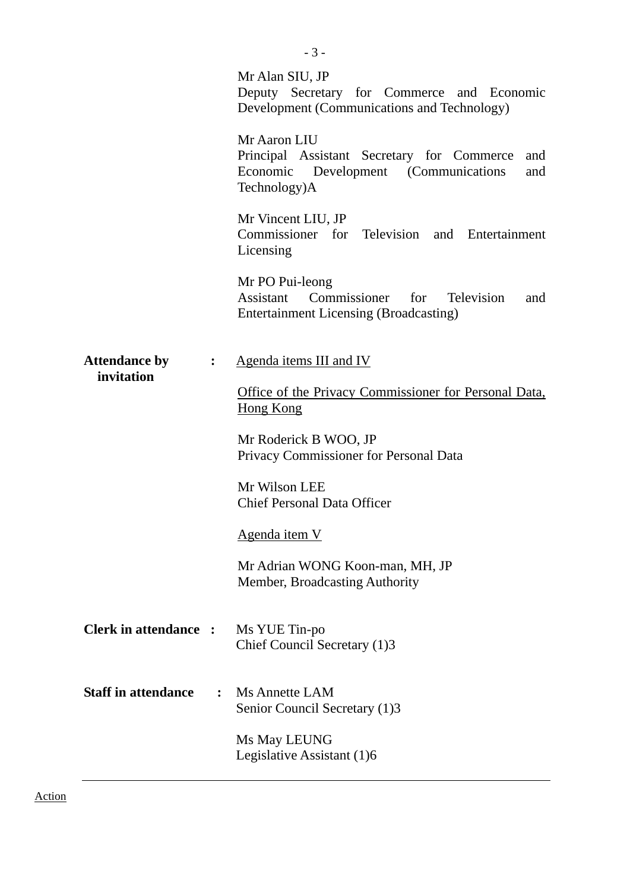|                                              | Mr Alan SIU, JP<br>Deputy Secretary for Commerce and Economic<br>Development (Communications and Technology)                     |
|----------------------------------------------|----------------------------------------------------------------------------------------------------------------------------------|
|                                              | Mr Aaron LIU<br>Principal Assistant Secretary for Commerce<br>and<br>Economic Development (Communications<br>and<br>Technology)A |
|                                              | Mr Vincent LIU, JP<br>Commissioner for Television and Entertainment<br>Licensing                                                 |
|                                              | Mr PO Pui-leong<br>Assistant Commissioner for<br><b>Television</b><br>and<br><b>Entertainment Licensing (Broadcasting)</b>       |
| <b>Attendance by</b><br>$\ddot{\cdot}$       | Agenda items III and IV                                                                                                          |
| invitation                                   | Office of the Privacy Commissioner for Personal Data,<br>Hong Kong                                                               |
|                                              | Mr Roderick B WOO, JP<br>Privacy Commissioner for Personal Data                                                                  |
|                                              | Mr Wilson LEE<br><b>Chief Personal Data Officer</b>                                                                              |
|                                              | Agenda item V                                                                                                                    |
|                                              | Mr Adrian WONG Koon-man, MH, JP<br>Member, Broadcasting Authority                                                                |
| <b>Clerk in attendance :</b>                 | Ms YUE Tin-po<br>Chief Council Secretary (1)3                                                                                    |
| <b>Staff in attendance</b><br>$\ddot{\cdot}$ | <b>Ms Annette LAM</b><br>Senior Council Secretary (1)3                                                                           |
|                                              | Ms May LEUNG<br>Legislative Assistant (1)6                                                                                       |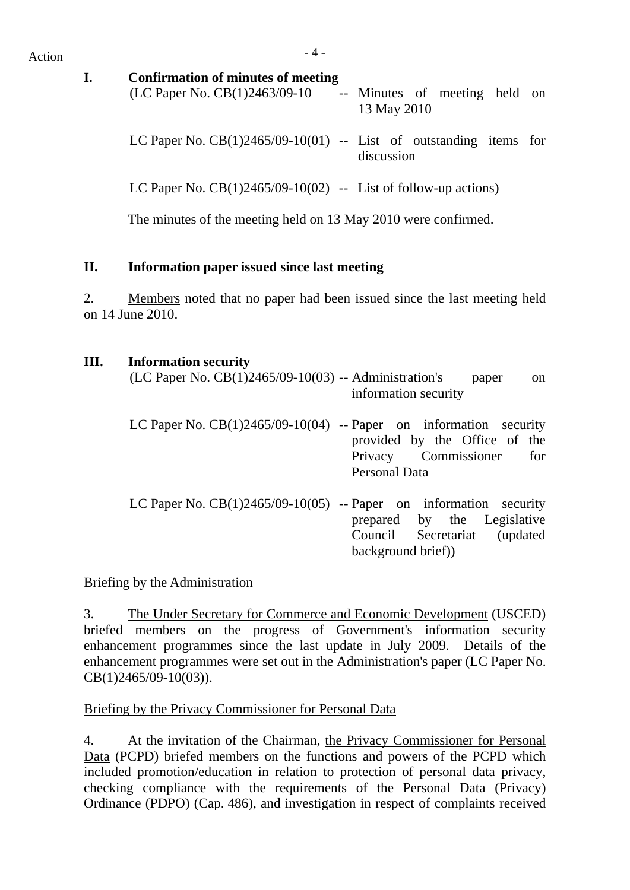$Action$ 

#### **I. Confirmation of minutes of meeting**

| (LC Paper No. CB(1)2463/09-10                                       | 13 May 2010 |  | -- Minutes of meeting held on |  |
|---------------------------------------------------------------------|-------------|--|-------------------------------|--|
| LC Paper No. $CB(1)2465/09-10(01)$ -- List of outstanding items for | discussion  |  |                               |  |

LC Paper No.  $CB(1)2465/09-10(02)$  -- List of follow-up actions)

The minutes of the meeting held on 13 May 2010 were confirmed.

# **II. Information paper issued since last meeting**

2. Members noted that no paper had been issued since the last meeting held on 14 June 2010.

## **III. Information security**

| (LC Paper No. CB(1)2465/09-10(03) -- Administration's | paper<br><sub>on</sub><br>information security                                                                                                              |
|-------------------------------------------------------|-------------------------------------------------------------------------------------------------------------------------------------------------------------|
|                                                       | LC Paper No. $CB(1)2465/09-10(04)$ -- Paper on information security<br>provided by the Office of the<br>Privacy Commissioner for<br>Personal Data           |
|                                                       | LC Paper No. $CB(1)2465/09-10(05)$ -- Paper on information security<br>prepared by the Legislative<br>Council Secretariat<br>(updated)<br>background brief) |

## Briefing by the Administration

3. The Under Secretary for Commerce and Economic Development (USCED) briefed members on the progress of Government's information security enhancement programmes since the last update in July 2009. Details of the enhancement programmes were set out in the Administration's paper (LC Paper No. CB(1)2465/09-10(03)).

## Briefing by the Privacy Commissioner for Personal Data

4. At the invitation of the Chairman, the Privacy Commissioner for Personal Data (PCPD) briefed members on the functions and powers of the PCPD which included promotion/education in relation to protection of personal data privacy, checking compliance with the requirements of the Personal Data (Privacy) Ordinance (PDPO) (Cap. 486), and investigation in respect of complaints received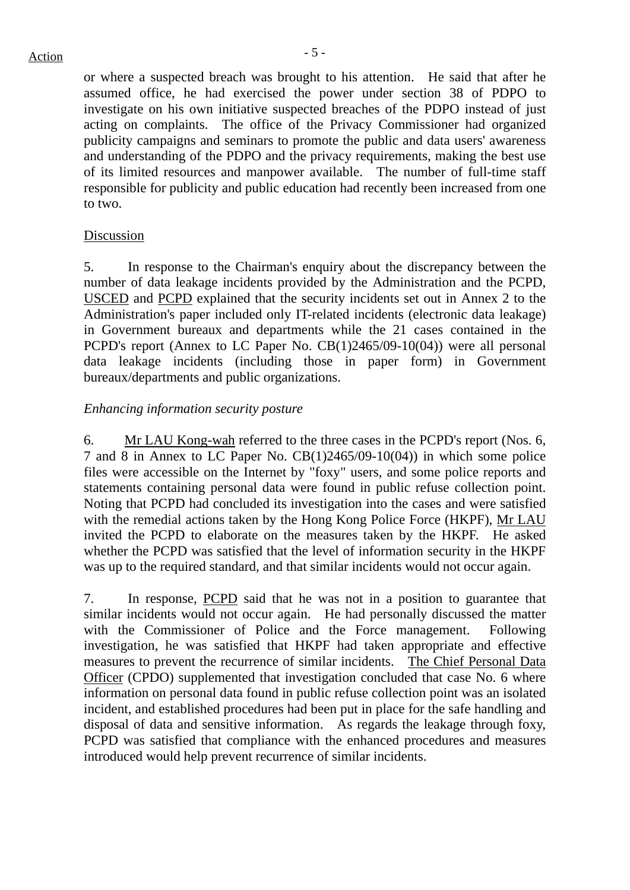# $Action$

or where a suspected breach was brought to his attention. He said that after he assumed office, he had exercised the power under section 38 of PDPO to investigate on his own initiative suspected breaches of the PDPO instead of just acting on complaints. The office of the Privacy Commissioner had organized publicity campaigns and seminars to promote the public and data users' awareness and understanding of the PDPO and the privacy requirements, making the best use of its limited resources and manpower available. The number of full-time staff responsible for publicity and public education had recently been increased from one to two.

#### Discussion

5. In response to the Chairman's enquiry about the discrepancy between the number of data leakage incidents provided by the Administration and the PCPD, USCED and PCPD explained that the security incidents set out in Annex 2 to the Administration's paper included only IT-related incidents (electronic data leakage) in Government bureaux and departments while the 21 cases contained in the PCPD's report (Annex to LC Paper No. CB(1)2465/09-10(04)) were all personal data leakage incidents (including those in paper form) in Government bureaux/departments and public organizations.

## *Enhancing information security posture*

6. Mr LAU Kong-wah referred to the three cases in the PCPD's report (Nos. 6, 7 and 8 in Annex to LC Paper No. CB(1)2465/09-10(04)) in which some police files were accessible on the Internet by "foxy" users, and some police reports and statements containing personal data were found in public refuse collection point. Noting that PCPD had concluded its investigation into the cases and were satisfied with the remedial actions taken by the Hong Kong Police Force (HKPF), Mr LAU invited the PCPD to elaborate on the measures taken by the HKPF. He asked whether the PCPD was satisfied that the level of information security in the HKPF was up to the required standard, and that similar incidents would not occur again.

7. In response, PCPD said that he was not in a position to guarantee that similar incidents would not occur again. He had personally discussed the matter with the Commissioner of Police and the Force management. Following investigation, he was satisfied that HKPF had taken appropriate and effective measures to prevent the recurrence of similar incidents. The Chief Personal Data Officer (CPDO) supplemented that investigation concluded that case No. 6 where information on personal data found in public refuse collection point was an isolated incident, and established procedures had been put in place for the safe handling and disposal of data and sensitive information. As regards the leakage through foxy, PCPD was satisfied that compliance with the enhanced procedures and measures introduced would help prevent recurrence of similar incidents.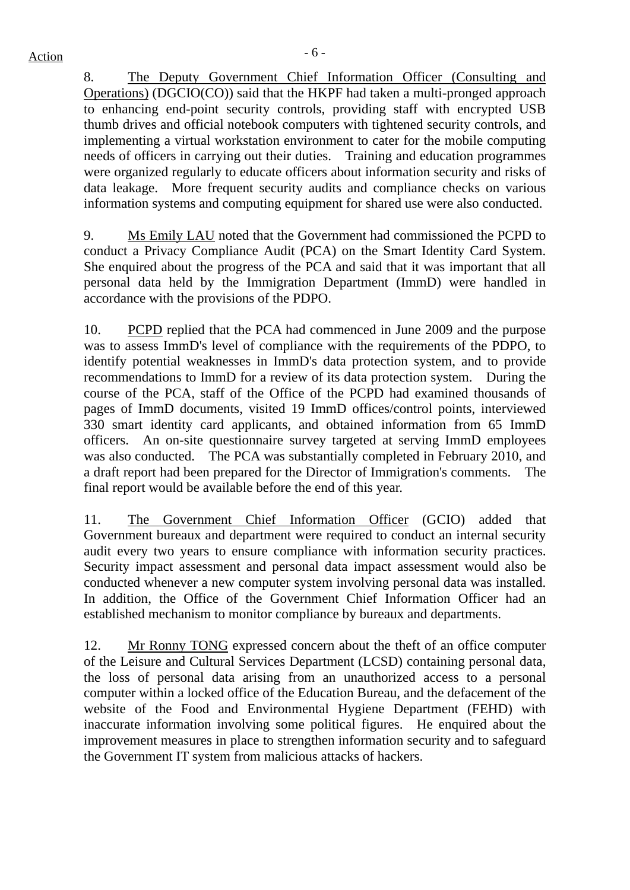8. The Deputy Government Chief Information Officer (Consulting and Operations) (DGCIO(CO)) said that the HKPF had taken a multi-pronged approach to enhancing end-point security controls, providing staff with encrypted USB thumb drives and official notebook computers with tightened security controls, and implementing a virtual workstation environment to cater for the mobile computing needs of officers in carrying out their duties. Training and education programmes were organized regularly to educate officers about information security and risks of data leakage. More frequent security audits and compliance checks on various information systems and computing equipment for shared use were also conducted.

9. Ms Emily LAU noted that the Government had commissioned the PCPD to conduct a Privacy Compliance Audit (PCA) on the Smart Identity Card System. She enquired about the progress of the PCA and said that it was important that all personal data held by the Immigration Department (ImmD) were handled in accordance with the provisions of the PDPO.

10. PCPD replied that the PCA had commenced in June 2009 and the purpose was to assess ImmD's level of compliance with the requirements of the PDPO, to identify potential weaknesses in ImmD's data protection system, and to provide recommendations to ImmD for a review of its data protection system. During the course of the PCA, staff of the Office of the PCPD had examined thousands of pages of ImmD documents, visited 19 ImmD offices/control points, interviewed 330 smart identity card applicants, and obtained information from 65 ImmD officers. An on-site questionnaire survey targeted at serving ImmD employees was also conducted. The PCA was substantially completed in February 2010, and a draft report had been prepared for the Director of Immigration's comments. The final report would be available before the end of this year.

11. The Government Chief Information Officer (GCIO) added that Government bureaux and department were required to conduct an internal security audit every two years to ensure compliance with information security practices. Security impact assessment and personal data impact assessment would also be conducted whenever a new computer system involving personal data was installed. In addition, the Office of the Government Chief Information Officer had an established mechanism to monitor compliance by bureaux and departments.

12. Mr Ronny TONG expressed concern about the theft of an office computer of the Leisure and Cultural Services Department (LCSD) containing personal data, the loss of personal data arising from an unauthorized access to a personal computer within a locked office of the Education Bureau, and the defacement of the website of the Food and Environmental Hygiene Department (FEHD) with inaccurate information involving some political figures. He enquired about the improvement measures in place to strengthen information security and to safeguard the Government IT system from malicious attacks of hackers.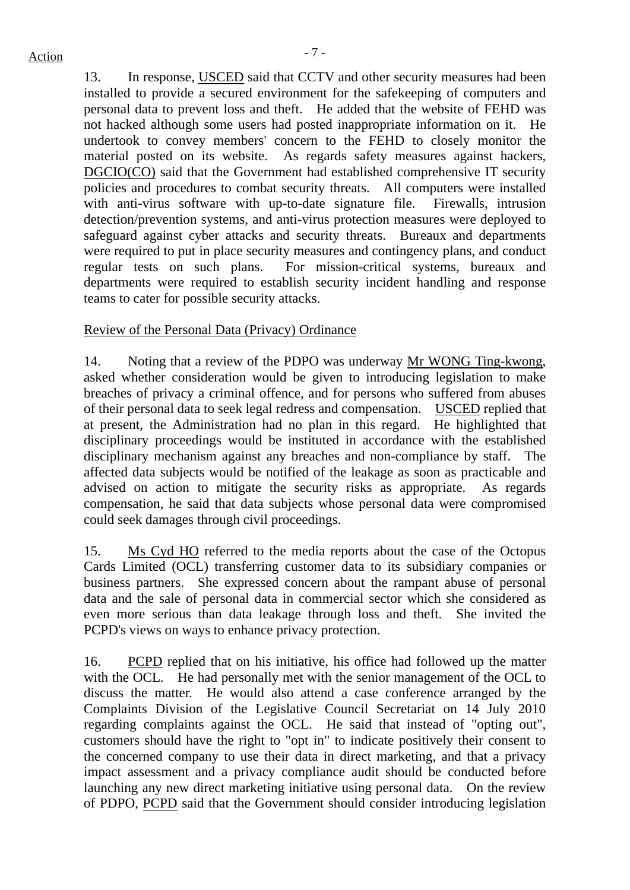13. In response, USCED said that CCTV and other security measures had been installed to provide a secured environment for the safekeeping of computers and personal data to prevent loss and theft. He added that the website of FEHD was not hacked although some users had posted inappropriate information on it. He undertook to convey members' concern to the FEHD to closely monitor the material posted on its website. As regards safety measures against hackers, DGCIO(CO) said that the Government had established comprehensive IT security policies and procedures to combat security threats. All computers were installed with anti-virus software with up-to-date signature file. Firewalls, intrusion detection/prevention systems, and anti-virus protection measures were deployed to safeguard against cyber attacks and security threats. Bureaux and departments were required to put in place security measures and contingency plans, and conduct regular tests on such plans. For mission-critical systems, bureaux and departments were required to establish security incident handling and response teams to cater for possible security attacks.

#### Review of the Personal Data (Privacy) Ordinance

14. Noting that a review of the PDPO was underway Mr WONG Ting-kwong, asked whether consideration would be given to introducing legislation to make breaches of privacy a criminal offence, and for persons who suffered from abuses of their personal data to seek legal redress and compensation. USCED replied that at present, the Administration had no plan in this regard. He highlighted that disciplinary proceedings would be instituted in accordance with the established disciplinary mechanism against any breaches and non-compliance by staff. The affected data subjects would be notified of the leakage as soon as practicable and advised on action to mitigate the security risks as appropriate. As regards compensation, he said that data subjects whose personal data were compromised could seek damages through civil proceedings.

15. Ms Cyd HO referred to the media reports about the case of the Octopus Cards Limited (OCL) transferring customer data to its subsidiary companies or business partners. She expressed concern about the rampant abuse of personal data and the sale of personal data in commercial sector which she considered as even more serious than data leakage through loss and theft. She invited the PCPD's views on ways to enhance privacy protection.

16. PCPD replied that on his initiative, his office had followed up the matter with the OCL. He had personally met with the senior management of the OCL to discuss the matter. He would also attend a case conference arranged by the Complaints Division of the Legislative Council Secretariat on 14 July 2010 regarding complaints against the OCL. He said that instead of "opting out", customers should have the right to "opt in" to indicate positively their consent to the concerned company to use their data in direct marketing, and that a privacy impact assessment and a privacy compliance audit should be conducted before launching any new direct marketing initiative using personal data. On the review of PDPO, PCPD said that the Government should consider introducing legislation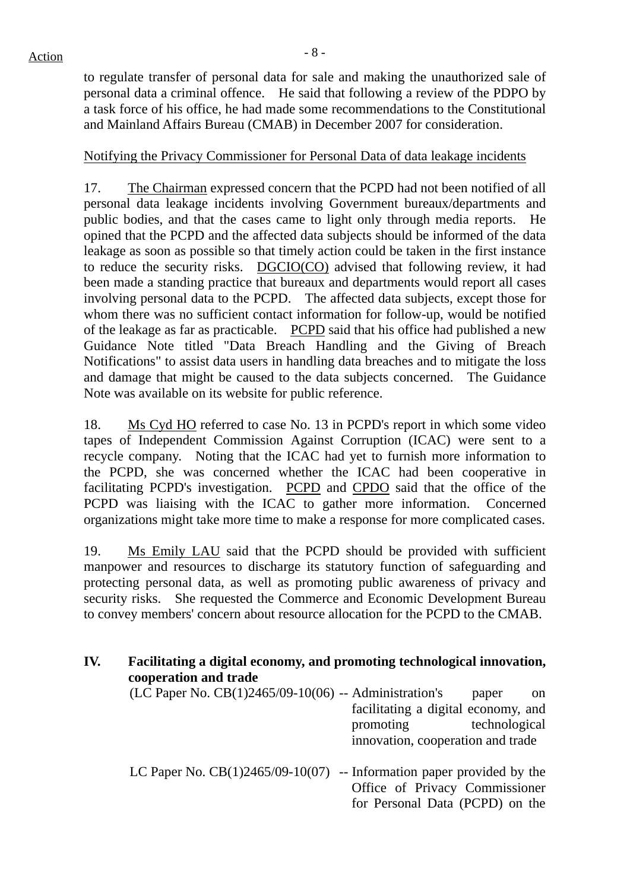to regulate transfer of personal data for sale and making the unauthorized sale of personal data a criminal offence. He said that following a review of the PDPO by a task force of his office, he had made some recommendations to the Constitutional and Mainland Affairs Bureau (CMAB) in December 2007 for consideration.

#### Notifying the Privacy Commissioner for Personal Data of data leakage incidents

17. The Chairman expressed concern that the PCPD had not been notified of all personal data leakage incidents involving Government bureaux/departments and public bodies, and that the cases came to light only through media reports. He opined that the PCPD and the affected data subjects should be informed of the data leakage as soon as possible so that timely action could be taken in the first instance to reduce the security risks. DGCIO(CO) advised that following review, it had been made a standing practice that bureaux and departments would report all cases involving personal data to the PCPD. The affected data subjects, except those for whom there was no sufficient contact information for follow-up, would be notified of the leakage as far as practicable. PCPD said that his office had published a new Guidance Note titled "Data Breach Handling and the Giving of Breach Notifications" to assist data users in handling data breaches and to mitigate the loss and damage that might be caused to the data subjects concerned. The Guidance Note was available on its website for public reference.

18. Ms Cyd HO referred to case No. 13 in PCPD's report in which some video tapes of Independent Commission Against Corruption (ICAC) were sent to a recycle company. Noting that the ICAC had yet to furnish more information to the PCPD, she was concerned whether the ICAC had been cooperative in facilitating PCPD's investigation. PCPD and CPDO said that the office of the PCPD was liaising with the ICAC to gather more information. Concerned organizations might take more time to make a response for more complicated cases.

19. Ms Emily LAU said that the PCPD should be provided with sufficient manpower and resources to discharge its statutory function of safeguarding and protecting personal data, as well as promoting public awareness of privacy and security risks. She requested the Commerce and Economic Development Bureau to convey members' concern about resource allocation for the PCPD to the CMAB.

| IV. | Facilitating a digital economy, and promoting technological innovation,<br>cooperation and trade |                                                                   |                        |  |  |  |  |  |
|-----|--------------------------------------------------------------------------------------------------|-------------------------------------------------------------------|------------------------|--|--|--|--|--|
|     | (LC Paper No. CB(1)2465/09-10(06) -- Administration's                                            | facilitating a digital economy, and                               | paper<br><sub>on</sub> |  |  |  |  |  |
|     |                                                                                                  | promoting<br>innovation, cooperation and trade                    | technological          |  |  |  |  |  |
|     | LC Paper No. $CB(1)2465/09-10(07)$ -- Information paper provided by the                          | Office of Privacy Commissioner<br>for Personal Data (PCPD) on the |                        |  |  |  |  |  |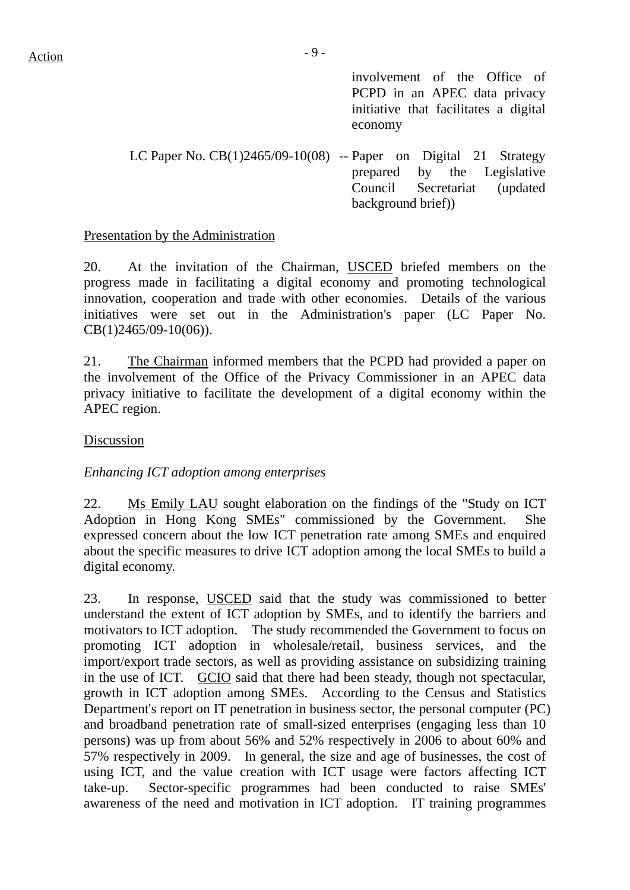involvement of the Office of PCPD in an APEC data privacy initiative that facilitates a digital economy

LC Paper No.  $CB(1)2465/09-10(08)$  -- Paper on Digital 21 Strategy prepared by the Legislative Council Secretariat (updated background brief))

#### Presentation by the Administration

20. At the invitation of the Chairman, USCED briefed members on the progress made in facilitating a digital economy and promoting technological innovation, cooperation and trade with other economies. Details of the various initiatives were set out in the Administration's paper (LC Paper No. CB(1)2465/09-10(06)).

21. The Chairman informed members that the PCPD had provided a paper on the involvement of the Office of the Privacy Commissioner in an APEC data privacy initiative to facilitate the development of a digital economy within the APEC region.

#### Discussion

#### *Enhancing ICT adoption among enterprises*

22. Ms Emily LAU sought elaboration on the findings of the "Study on ICT Adoption in Hong Kong SMEs" commissioned by the Government. She expressed concern about the low ICT penetration rate among SMEs and enquired about the specific measures to drive ICT adoption among the local SMEs to build a digital economy.

23. In response, USCED said that the study was commissioned to better understand the extent of ICT adoption by SMEs, and to identify the barriers and motivators to ICT adoption. The study recommended the Government to focus on promoting ICT adoption in wholesale/retail, business services, and the import/export trade sectors, as well as providing assistance on subsidizing training in the use of ICT. GCIO said that there had been steady, though not spectacular, growth in ICT adoption among SMEs. According to the Census and Statistics Department's report on IT penetration in business sector, the personal computer (PC) and broadband penetration rate of small-sized enterprises (engaging less than 10 persons) was up from about 56% and 52% respectively in 2006 to about 60% and 57% respectively in 2009. In general, the size and age of businesses, the cost of using ICT, and the value creation with ICT usage were factors affecting ICT take-up. Sector-specific programmes had been conducted to raise SMEs' awareness of the need and motivation in ICT adoption. IT training programmes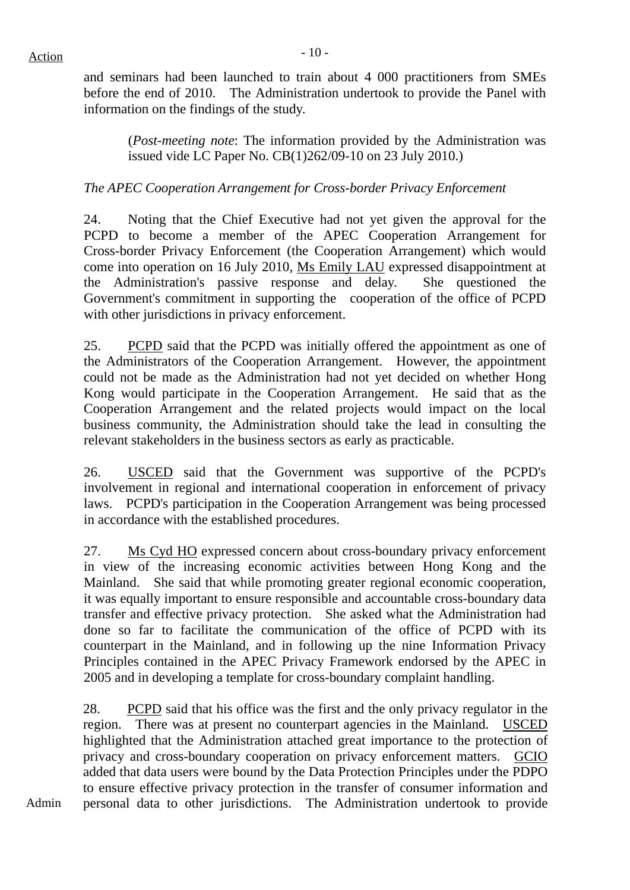and seminars had been launched to train about 4 000 practitioners from SMEs before the end of 2010. The Administration undertook to provide the Panel with information on the findings of the study.

(*Post-meeting note*: The information provided by the Administration was issued vide LC Paper No. CB(1)262/09-10 on 23 July 2010.)

# *The APEC Cooperation Arrangement for Cross-border Privacy Enforcement*

24. Noting that the Chief Executive had not yet given the approval for the PCPD to become a member of the APEC Cooperation Arrangement for Cross-border Privacy Enforcement (the Cooperation Arrangement) which would come into operation on 16 July 2010, Ms Emily LAU expressed disappointment at the Administration's passive response and delay. She questioned the Government's commitment in supporting the cooperation of the office of PCPD with other jurisdictions in privacy enforcement.

25. PCPD said that the PCPD was initially offered the appointment as one of the Administrators of the Cooperation Arrangement. However, the appointment could not be made as the Administration had not yet decided on whether Hong Kong would participate in the Cooperation Arrangement. He said that as the Cooperation Arrangement and the related projects would impact on the local business community, the Administration should take the lead in consulting the relevant stakeholders in the business sectors as early as practicable.

26. USCED said that the Government was supportive of the PCPD's involvement in regional and international cooperation in enforcement of privacy laws. PCPD's participation in the Cooperation Arrangement was being processed in accordance with the established procedures.

27. Ms Cyd HO expressed concern about cross-boundary privacy enforcement in view of the increasing economic activities between Hong Kong and the Mainland. She said that while promoting greater regional economic cooperation, it was equally important to ensure responsible and accountable cross-boundary data transfer and effective privacy protection. She asked what the Administration had done so far to facilitate the communication of the office of PCPD with its counterpart in the Mainland, and in following up the nine Information Privacy Principles contained in the APEC Privacy Framework endorsed by the APEC in 2005 and in developing a template for cross-boundary complaint handling.

28. PCPD said that his office was the first and the only privacy regulator in the region. There was at present no counterpart agencies in the Mainland. USCED highlighted that the Administration attached great importance to the protection of privacy and cross-boundary cooperation on privacy enforcement matters. GCIO added that data users were bound by the Data Protection Principles under the PDPO to ensure effective privacy protection in the transfer of consumer information and personal data to other jurisdictions. The Administration undertook to provide

Admin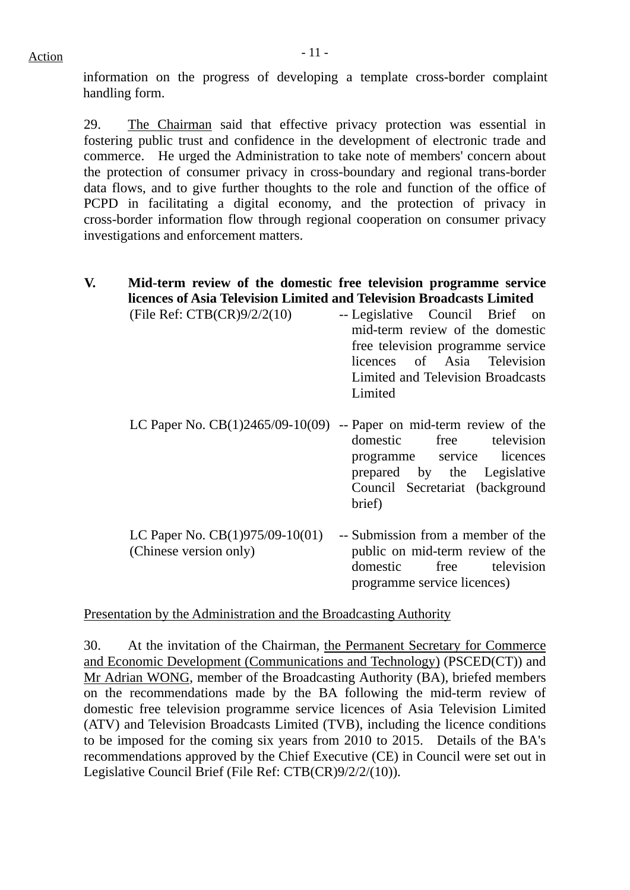information on the progress of developing a template cross-border complaint handling form.

29. The Chairman said that effective privacy protection was essential in fostering public trust and confidence in the development of electronic trade and commerce. He urged the Administration to take note of members' concern about the protection of consumer privacy in cross-boundary and regional trans-border data flows, and to give further thoughts to the role and function of the office of PCPD in facilitating a digital economy, and the protection of privacy in cross-border information flow through regional cooperation on consumer privacy investigations and enforcement matters.

# **V. Mid-term review of the domestic free television programme service licences of Asia Television Limited and Television Broadcasts Limited**

| -- Legislative Council Brief on   |
|-----------------------------------|
| mid-term review of the domestic   |
| free television programme service |
| licences of Asia Television       |
| Limited and Television Broadcasts |
| Limited                           |
|                                   |

- LC Paper No.  $CB(1)2465/09-10(09)$  -- Paper on mid-term review of the domestic free television programme service licences prepared by the Legislative Council Secretariat (background brief)
- LC Paper No. CB(1)975/09-10(01) (Chinese version only) -- Submission from a member of the public on mid-term review of the domestic free television programme service licences)

Presentation by the Administration and the Broadcasting Authority

30. At the invitation of the Chairman, the Permanent Secretary for Commerce and Economic Development (Communications and Technology) (PSCED(CT)) and Mr Adrian WONG, member of the Broadcasting Authority (BA), briefed members on the recommendations made by the BA following the mid-term review of domestic free television programme service licences of Asia Television Limited (ATV) and Television Broadcasts Limited (TVB), including the licence conditions to be imposed for the coming six years from 2010 to 2015. Details of the BA's recommendations approved by the Chief Executive (CE) in Council were set out in Legislative Council Brief (File Ref: CTB(CR)9/2/2/(10)).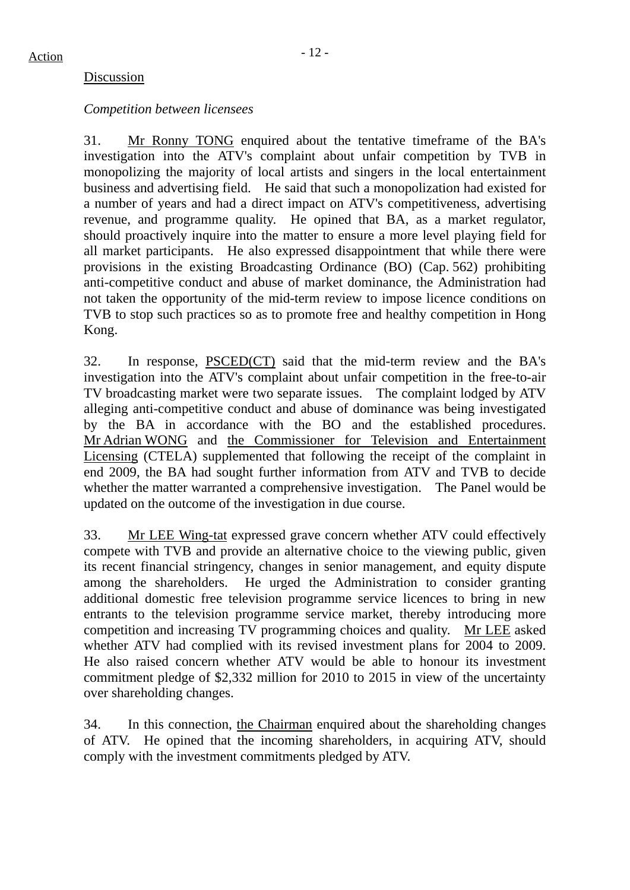#### Discussion

#### *Competition between licensees*

31. Mr Ronny TONG enquired about the tentative timeframe of the BA's investigation into the ATV's complaint about unfair competition by TVB in monopolizing the majority of local artists and singers in the local entertainment business and advertising field. He said that such a monopolization had existed for a number of years and had a direct impact on ATV's competitiveness, advertising revenue, and programme quality. He opined that BA, as a market regulator, should proactively inquire into the matter to ensure a more level playing field for all market participants. He also expressed disappointment that while there were provisions in the existing Broadcasting Ordinance (BO) (Cap. 562) prohibiting anti-competitive conduct and abuse of market dominance, the Administration had not taken the opportunity of the mid-term review to impose licence conditions on TVB to stop such practices so as to promote free and healthy competition in Hong Kong.

32. In response, PSCED(CT) said that the mid-term review and the BA's investigation into the ATV's complaint about unfair competition in the free-to-air TV broadcasting market were two separate issues. The complaint lodged by ATV alleging anti-competitive conduct and abuse of dominance was being investigated by the BA in accordance with the BO and the established procedures. Mr Adrian WONG and the Commissioner for Television and Entertainment Licensing (CTELA) supplemented that following the receipt of the complaint in end 2009, the BA had sought further information from ATV and TVB to decide whether the matter warranted a comprehensive investigation. The Panel would be updated on the outcome of the investigation in due course.

33. Mr LEE Wing-tat expressed grave concern whether ATV could effectively compete with TVB and provide an alternative choice to the viewing public, given its recent financial stringency, changes in senior management, and equity dispute among the shareholders. He urged the Administration to consider granting additional domestic free television programme service licences to bring in new entrants to the television programme service market, thereby introducing more competition and increasing TV programming choices and quality. Mr LEE asked whether ATV had complied with its revised investment plans for 2004 to 2009. He also raised concern whether ATV would be able to honour its investment commitment pledge of \$2,332 million for 2010 to 2015 in view of the uncertainty over shareholding changes.

34. In this connection, the Chairman enquired about the shareholding changes of ATV. He opined that the incoming shareholders, in acquiring ATV, should comply with the investment commitments pledged by ATV.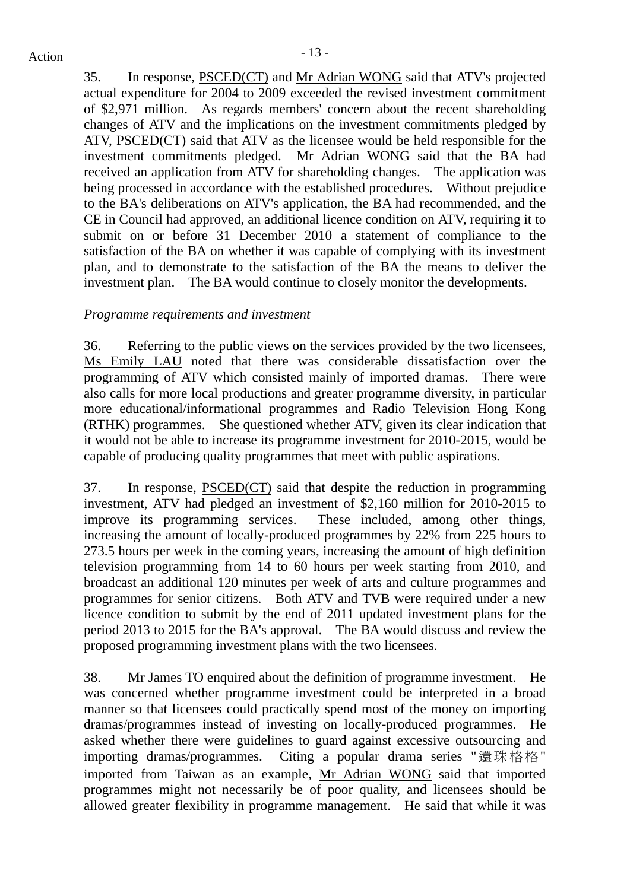35. In response, PSCED(CT) and Mr Adrian WONG said that ATV's projected actual expenditure for 2004 to 2009 exceeded the revised investment commitment of \$2,971 million. As regards members' concern about the recent shareholding changes of ATV and the implications on the investment commitments pledged by ATV, PSCED(CT) said that ATV as the licensee would be held responsible for the investment commitments pledged. Mr Adrian WONG said that the BA had received an application from ATV for shareholding changes. The application was being processed in accordance with the established procedures. Without prejudice to the BA's deliberations on ATV's application, the BA had recommended, and the CE in Council had approved, an additional licence condition on ATV, requiring it to submit on or before 31 December 2010 a statement of compliance to the satisfaction of the BA on whether it was capable of complying with its investment plan, and to demonstrate to the satisfaction of the BA the means to deliver the investment plan. The BA would continue to closely monitor the developments.

## *Programme requirements and investment*

36. Referring to the public views on the services provided by the two licensees, Ms Emily LAU noted that there was considerable dissatisfaction over the programming of ATV which consisted mainly of imported dramas. There were also calls for more local productions and greater programme diversity, in particular more educational/informational programmes and Radio Television Hong Kong (RTHK) programmes. She questioned whether ATV, given its clear indication that it would not be able to increase its programme investment for 2010-2015, would be capable of producing quality programmes that meet with public aspirations.

37. In response, PSCED(CT) said that despite the reduction in programming investment, ATV had pledged an investment of \$2,160 million for 2010-2015 to improve its programming services. These included, among other things, increasing the amount of locally-produced programmes by 22% from 225 hours to 273.5 hours per week in the coming years, increasing the amount of high definition television programming from 14 to 60 hours per week starting from 2010, and broadcast an additional 120 minutes per week of arts and culture programmes and programmes for senior citizens. Both ATV and TVB were required under a new licence condition to submit by the end of 2011 updated investment plans for the period 2013 to 2015 for the BA's approval. The BA would discuss and review the proposed programming investment plans with the two licensees.

38. Mr James TO enquired about the definition of programme investment. He was concerned whether programme investment could be interpreted in a broad manner so that licensees could practically spend most of the money on importing dramas/programmes instead of investing on locally-produced programmes. He asked whether there were guidelines to guard against excessive outsourcing and importing dramas/programmes. Citing a popular drama series "還珠格格" imported from Taiwan as an example, Mr Adrian WONG said that imported programmes might not necessarily be of poor quality, and licensees should be allowed greater flexibility in programme management. He said that while it was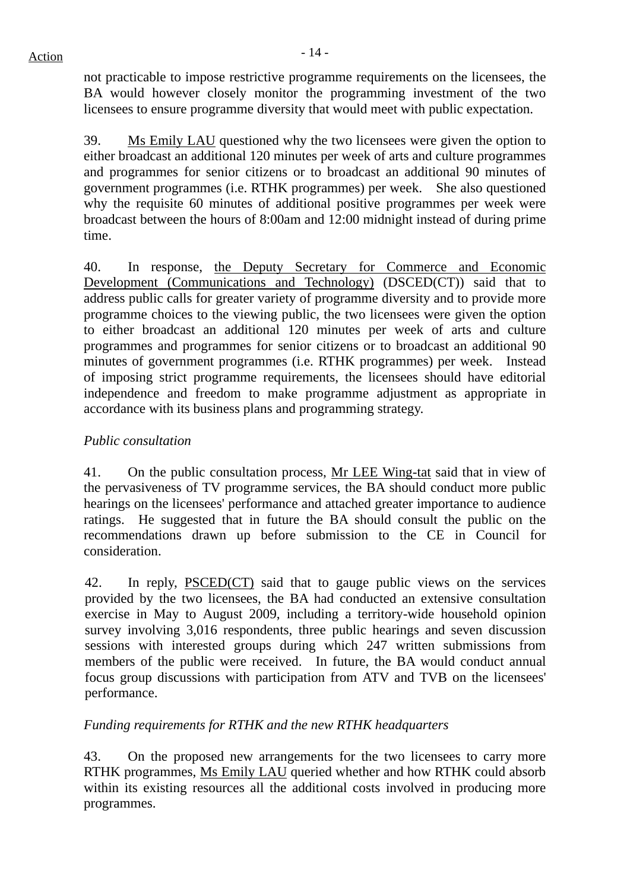not practicable to impose restrictive programme requirements on the licensees, the BA would however closely monitor the programming investment of the two licensees to ensure programme diversity that would meet with public expectation.

39. Ms Emily LAU questioned why the two licensees were given the option to either broadcast an additional 120 minutes per week of arts and culture programmes and programmes for senior citizens or to broadcast an additional 90 minutes of government programmes (i.e. RTHK programmes) per week. She also questioned why the requisite 60 minutes of additional positive programmes per week were broadcast between the hours of 8:00am and 12:00 midnight instead of during prime time.

40. In response, the Deputy Secretary for Commerce and Economic Development (Communications and Technology) (DSCED(CT)) said that to address public calls for greater variety of programme diversity and to provide more programme choices to the viewing public, the two licensees were given the option to either broadcast an additional 120 minutes per week of arts and culture programmes and programmes for senior citizens or to broadcast an additional 90 minutes of government programmes (i.e. RTHK programmes) per week. Instead of imposing strict programme requirements, the licensees should have editorial independence and freedom to make programme adjustment as appropriate in accordance with its business plans and programming strategy.

# *Public consultation*

41. On the public consultation process, Mr LEE Wing-tat said that in view of the pervasiveness of TV programme services, the BA should conduct more public hearings on the licensees' performance and attached greater importance to audience ratings. He suggested that in future the BA should consult the public on the recommendations drawn up before submission to the CE in Council for consideration.

42. In reply, PSCED(CT) said that to gauge public views on the services provided by the two licensees, the BA had conducted an extensive consultation exercise in May to August 2009, including a territory-wide household opinion survey involving 3,016 respondents, three public hearings and seven discussion sessions with interested groups during which 247 written submissions from members of the public were received. In future, the BA would conduct annual focus group discussions with participation from ATV and TVB on the licensees' performance.

## *Funding requirements for RTHK and the new RTHK headquarters*

43. On the proposed new arrangements for the two licensees to carry more RTHK programmes, Ms Emily LAU queried whether and how RTHK could absorb within its existing resources all the additional costs involved in producing more programmes.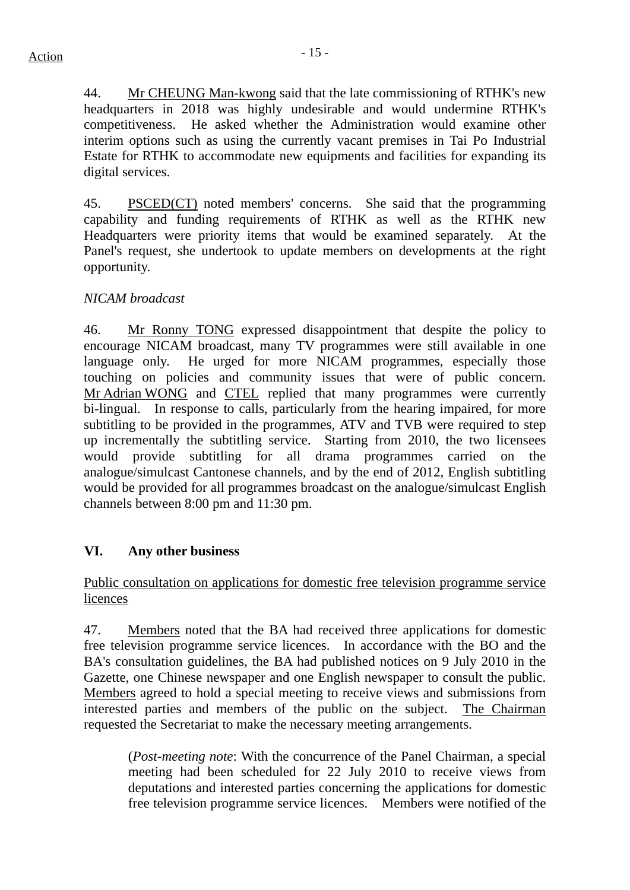44. Mr CHEUNG Man-kwong said that the late commissioning of RTHK's new headquarters in 2018 was highly undesirable and would undermine RTHK's competitiveness. He asked whether the Administration would examine other interim options such as using the currently vacant premises in Tai Po Industrial Estate for RTHK to accommodate new equipments and facilities for expanding its digital services.

45. PSCED(CT) noted members' concerns. She said that the programming capability and funding requirements of RTHK as well as the RTHK new Headquarters were priority items that would be examined separately. At the Panel's request, she undertook to update members on developments at the right opportunity.

# *NICAM broadcast*

46. Mr Ronny TONG expressed disappointment that despite the policy to encourage NICAM broadcast, many TV programmes were still available in one language only. He urged for more NICAM programmes, especially those touching on policies and community issues that were of public concern. Mr Adrian WONG and CTEL replied that many programmes were currently bi-lingual. In response to calls, particularly from the hearing impaired, for more subtitling to be provided in the programmes, ATV and TVB were required to step up incrementally the subtitling service. Starting from 2010, the two licensees would provide subtitling for all drama programmes carried on the analogue/simulcast Cantonese channels, and by the end of 2012, English subtitling would be provided for all programmes broadcast on the analogue/simulcast English channels between 8:00 pm and 11:30 pm.

## **VI. Any other business**

# Public consultation on applications for domestic free television programme service licences

47. Members noted that the BA had received three applications for domestic free television programme service licences. In accordance with the BO and the BA's consultation guidelines, the BA had published notices on 9 July 2010 in the Gazette, one Chinese newspaper and one English newspaper to consult the public. Members agreed to hold a special meeting to receive views and submissions from interested parties and members of the public on the subject. The Chairman requested the Secretariat to make the necessary meeting arrangements.

(*Post-meeting note*: With the concurrence of the Panel Chairman, a special meeting had been scheduled for 22 July 2010 to receive views from deputations and interested parties concerning the applications for domestic free television programme service licences. Members were notified of the